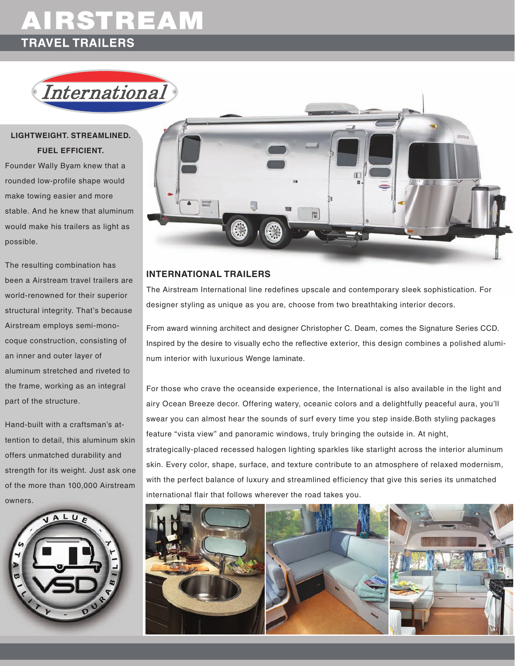# AIRSTREAM **TRAVEL TRAILERS**

International

## **lightweight. streamlined. fuel efficient.**

Founder Wally Byam knew that a rounded low-profile shape would make towing easier and more stable. And he knew that aluminum would make his trailers as light as possible.

The resulting combination has been a Airstream travel trailers are world-renowned for their superior structural integrity. That's because Airstream employs semi-monocoque construction, consisting of an inner and outer layer of aluminum stretched and riveted to the frame, working as an integral part of the structure.

Hand-built with a craftsman's attention to detail, this aluminum skin offers unmatched durability and strength for its weight. Just ask one of the more than 100,000 Airstream owners.





### **international trailers**

The Airstream International line redefines upscale and contemporary sleek sophistication. For designer styling as unique as you are, choose from two breathtaking interior decors.

From award winning architect and designer Christopher C. Deam, comes the Signature Series CCD. Inspired by the desire to visually echo the reflective exterior, this design combines a polished aluminum interior with luxurious Wenge laminate.

For those who crave the oceanside experience, the International is also available in the light and airy Ocean Breeze decor. Offering watery, oceanic colors and a delightfully peaceful aura, you'll swear you can almost hear the sounds of surf every time you step inside.Both styling packages feature "vista view" and panoramic windows, truly bringing the outside in. At night, strategically-placed recessed halogen lighting sparkles like starlight across the interior aluminum skin. Every color, shape, surface, and texture contribute to an atmosphere of relaxed modernism, with the perfect balance of luxury and streamlined efficiency that give this series its unmatched

international flair that follows wherever the road takes you.